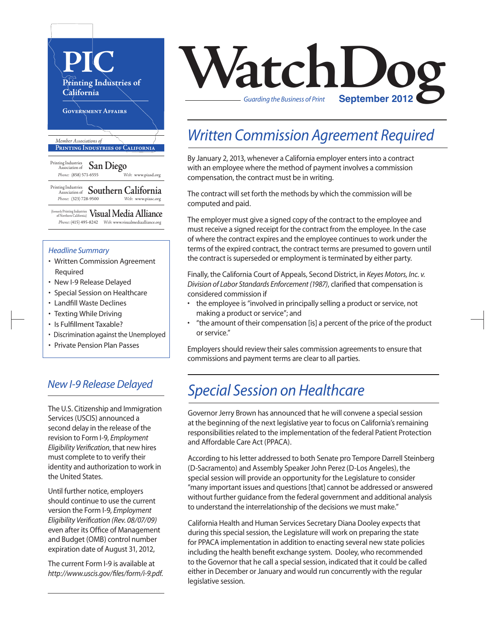

#### *Headline Summary*

- Written Commission Agreement Required
- New I-9 Release Delayed
- Special Session on Healthcare
- Landfill Waste Declines
- Texting While Driving
- Is Fulfillment Taxable?
- Discrimination against the Unemployed
- Private Pension Plan Passes

### *New I-9 Release Delayed*

The U.S. Citizenship and Immigration Services (USCIS) announced a second delay in the release of the revision to Form I-9, *Employment Eligibility Verification*, that new hires must complete to to verify their identity and authorization to work in the United States.

Until further notice, employers should continue to use the current version the Form I-9, *Employment Eligibility Verification (Rev. 08/07/09)* even after its Office of Management and Budget (OMB) control number expiration date of August 31, 2012,

The current Form I-9 is available at *http://www.uscis.gov/files/form/i-9.pdf*.

# **VatchLog** *Guarding the Business of Print*

## *Written Commission Agreement Required*

By January 2, 2013, whenever a California employer enters into a contract with an employee where the method of payment involves a commission compensation, the contract must be in writing.

The contract will set forth the methods by which the commission will be computed and paid.

The employer must give a signed copy of the contract to the employee and must receive a signed receipt for the contract from the employee. In the case of where the contract expires and the employee continues to work under the terms of the expired contract, the contract terms are presumed to govern until the contract is superseded or employment is terminated by either party.

Finally, the California Court of Appeals, Second District, in *Keyes Motors, Inc. v. Division of Labor Standards Enforcement (1987)*, clarified that compensation is considered commission if

- the employee is "involved in principally selling a product or service, not making a product or service"; and
- "the amount of their compensation [is] a percent of the price of the product or service."

Employers should review their sales commission agreements to ensure that commissions and payment terms are clear to all parties.

# *Special Session on Healthcare*

Governor Jerry Brown has announced that he will convene a special session at the beginning of the next legislative year to focus on California's remaining responsibilities related to the implementation of the federal Patient Protection and Affordable Care Act (PPACA).

According to hisletter addressed to both Senate pro Tempore Darrell Steinberg (D-Sacramento) and Assembly Speaker John Perez (D-Los Angeles), the special session will provide an opportunity for the Legislature to consider "many important issues and questions[that] cannot be addressed or answered without further guidance from the federal government and additional analysis to understand the interrelationship of the decisions we must make."

California Health and Human Services Secretary Diana Dooley expects that during this special session, the Legislature will work on preparing the state for PPACA implementation in addition to enacting several new state policies including the health benefit exchange system. Dooley, who recommended to the Governor that he call a special session, indicated that it could be called either in December or January and would run concurrently with the regular legislative session.